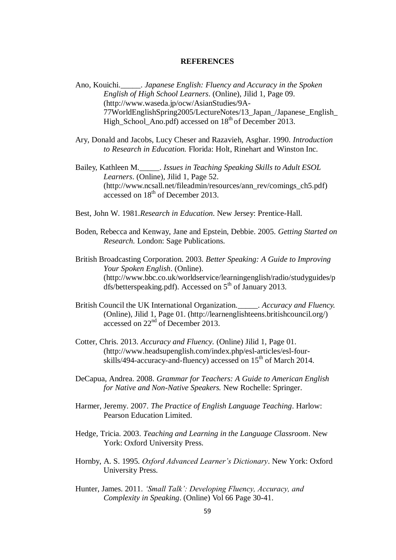## **REFERENCES**

- Ano, Kouichi.\_\_\_\_\_. *Japanese English: Fluency and Accuracy in the Spoken English of High School Learners*. (Online), Jilid 1, Page 09. (http://www.waseda.jp/ocw/AsianStudies/9A-77WorldEnglishSpring2005/LectureNotes/13\_Japan\_/Japanese\_English\_ High\_School\_Ano.pdf) accessed on  $18<sup>th</sup>$  of December 2013.
- Ary, Donald and Jacobs, Lucy Cheser and Razavieh, Asghar. 1990. *Introduction to Research in Education.* Florida: Holt, Rinehart and Winston Inc.
- Bailey, Kathleen M.\_\_\_\_\_. *Issues in Teaching Speaking Skills to Adult ESOL Learners*. (Online), Jilid 1, Page 52. (http://www.ncsall.net/fileadmin/resources/ann\_rev/comings\_ch5.pdf) accessed on 18<sup>th</sup> of December 2013.
- Best, John W. 1981.*Research in Education*. New Jersey: Prentice-Hall.
- Boden, Rebecca and Kenway, Jane and Epstein, Debbie. 2005. *Getting Started on Research.* London: Sage Publications.
- British Broadcasting Corporation. 2003. *Better Speaking: A Guide to Improving Your Spoken English*. (Online). (http://www.bbc.co.uk/worldservice/learningenglish/radio/studyguides/p dfs/betterspeaking.pdf). Accessed on  $5<sup>th</sup>$  of January 2013.
- British Council the UK International Organization.\_\_\_\_\_. *Accuracy and Fluency.* (Online), Jilid 1, Page 01. (http://learnenglishteens.britishcouncil.org/) accessed on 22nd of December 2013.
- Cotter, Chris. 2013. *Accuracy and Fluency.* (Online) Jilid 1, Page 01. (http://www.headsupenglish.com/index.php/esl-articles/esl-fourskills/494-accuracy-and-fluency) accessed on  $15<sup>th</sup>$  of March 2014.
- DeCapua, Andrea. 2008. *Grammar for Teachers: A Guide to American English for Native and Non-Native Speakers.* New Rochelle: Springer.
- Harmer, Jeremy. 2007. *The Practice of English Language Teaching*. Harlow: Pearson Education Limited.
- Hedge, Tricia. 2003. *Teaching and Learning in the Language Classroom*. New York: Oxford University Press.
- Hornby, A. S. 1995. *Oxford Advanced Learner's Dictionary*. New York: Oxford University Press.
- Hunter, James. 2011. *'Small Talk': Developing Fluency, Accuracy, and Complexity in Speaking*. (Online) Vol 66 Page 30-41.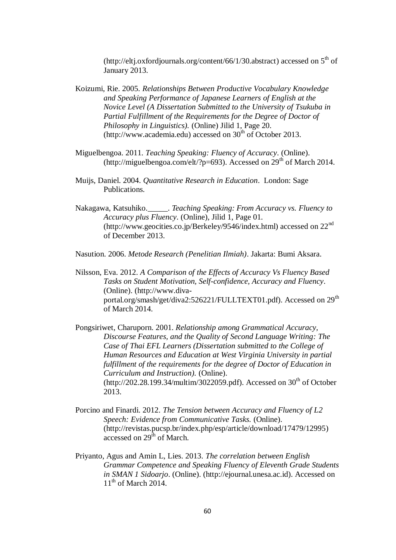(http://eltj.oxfordjournals.org/content/66/1/30.abstract) accessed on  $5<sup>th</sup>$  of January 2013.

- Koizumi, Rie. 2005. *Relationships Between Productive Vocabulary Knowledge and Speaking Performance of Japanese Learners of English at the Novice Level (A Dissertation Submitted to the University of Tsukuba in Partial Fulfillment of the Requirements for the Degree of Doctor of Philosophy in Linguistics).* (Online) Jilid 1, Page 20. (http://www.academia.edu) accessed on  $30<sup>th</sup>$  of October 2013.
- Miguelbengoa. 2011. *Teaching Speaking: Fluency of Accuracy*. (Online). (http://miguelbengoa.com/elt/?p=693). Accessed on  $29<sup>th</sup>$  of March 2014.
- Muijs, Daniel. 2004. *Quantitative Research in Education*. London: Sage Publications.
- Nakagawa, Katsuhiko.\_\_\_\_\_. *Teaching Speaking: From Accuracy vs. Fluency to Accuracy plus Fluency*. (Online), Jilid 1, Page 01. (http://www.geocities.co.jp/Berkeley/9546/index.html) accessed on 22nd of December 2013.

Nasution. 2006. *Metode Research (Penelitian Ilmiah)*. Jakarta: Bumi Aksara.

- Nilsson, Eva. 2012. *A Comparison of the Effects of Accuracy Vs Fluency Based Tasks on Student Motivation, Self-confidence, Accuracy and Fluency*. (Online). (http://www.divaportal.org/smash/get/diva2:526221/FULLTEXT01.pdf). Accessed on 29<sup>th</sup> of March 2014.
- Pongsiriwet, Charuporn. 2001. *Relationship among Grammatical Accuracy, Discourse Features, and the Quality of Second Language Writing: The Case of Thai EFL Learners (Dissertation submitted to the College of Human Resources and Education at West Virginia University in partial fulfillment of the requirements for the degree of Doctor of Education in Curriculum and Instruction).* (Online).  $(\text{http://202.28.199.34/multim/3022059.pdf})$ . Accessed on 30<sup>th</sup> of October 2013.
- Porcino and Finardi. 2012. *The Tension between Accuracy and Fluency of L2 Speech: Evidence from Communicative Tasks.* (Online). (http://revistas.pucsp.br/index.php/esp/article/download/17479/12995)  $\frac{1}{\text{accessed on 29}}$  of March.
- Priyanto, Agus and Amin L, Lies. 2013. *The correlation between English Grammar Competence and Speaking Fluency of Eleventh Grade Students in SMAN 1 Sidoarjo*. (Online). (http://ejournal.unesa.ac.id). Accessed on  $11<sup>th</sup>$  of March 2014.